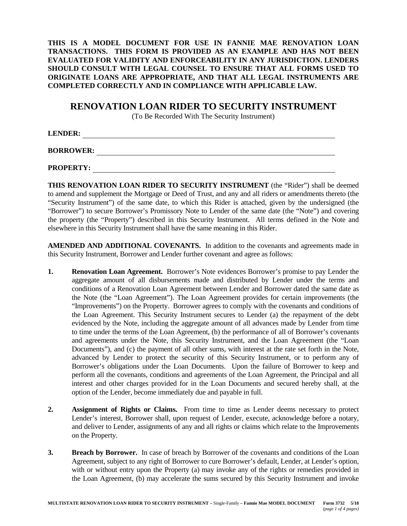**THIS IS A MODEL DOCUMENT FOR USE IN FANNIE MAE RENOVATION LOAN TRANSACTIONS. THIS FORM IS PROVIDED AS AN EXAMPLE AND HAS NOT BEEN EVALUATED FOR VALIDITY AND ENFORCEABILITY IN ANY JURISDICTION. LENDERS SHOULD CONSULT WITH LEGAL COUNSEL TO ENSURE THAT ALL FORMS USED TO ORIGINATE LOANS ARE APPROPRIATE, AND THAT ALL LEGAL INSTRUMENTS ARE COMPLETED CORRECTLY AND IN COMPLIANCE WITH APPLICABLE LAW.**

## **RENOVATION LOAN RIDER TO SECURITY INSTRUMENT**

(To Be Recorded With The Security Instrument)

**LENDER:** 

**BORROWER:** 

**PROPERTY:** 

**THIS RENOVATION LOAN RIDER TO SECURITY INSTRUMENT** (the "Rider") shall be deemed to amend and supplement the Mortgage or Deed of Trust, and any and all riders or amendments thereto (the "Security Instrument") of the same date, to which this Rider is attached, given by the undersigned (the "Borrower") to secure Borrower's Promissory Note to Lender of the same date (the "Note") and covering the property (the "Property") described in this Security Instrument. All terms defined in the Note and elsewhere in this Security Instrument shall have the same meaning in this Rider.

**AMENDED AND ADDITIONAL COVENANTS.** In addition to the covenants and agreements made in this Security Instrument, Borrower and Lender further covenant and agree as follows:

- **1. Renovation Loan Agreement.** Borrower's Note evidences Borrower's promise to pay Lender the aggregate amount of all disbursements made and distributed by Lender under the terms and conditions of a Renovation Loan Agreement between Lender and Borrower dated the same date as the Note (the "Loan Agreement"). The Loan Agreement provides for certain improvements (the "Improvements") on the Property. Borrower agrees to comply with the covenants and conditions of the Loan Agreement. This Security Instrument secures to Lender (a) the repayment of the debt evidenced by the Note, including the aggregate amount of all advances made by Lender from time to time under the terms of the Loan Agreement, (b) the performance of all of Borrower's covenants and agreements under the Note, this Security Instrument, and the Loan Agreement (the "Loan Documents"), and (c) the payment of all other sums, with interest at the rate set forth in the Note, advanced by Lender to protect the security of this Security Instrument, or to perform any of Borrower's obligations under the Loan Documents. Upon the failure of Borrower to keep and perform all the covenants, conditions and agreements of the Loan Agreement, the Principal and all interest and other charges provided for in the Loan Documents and secured hereby shall, at the option of the Lender, become immediately due and payable in full.
- **2. Assignment of Rights or Claims.** From time to time as Lender deems necessary to protect Lender's interest, Borrower shall, upon request of Lender, execute, acknowledge before a notary, and deliver to Lender, assignments of any and all rights or claims which relate to the Improvements on the Property.
- **3. Breach by Borrower.** In case of breach by Borrower of the covenants and conditions of the Loan Agreement, subject to any right of Borrower to cure Borrower's default, Lender, at Lender's option, with or without entry upon the Property (a) may invoke any of the rights or remedies provided in the Loan Agreement, (b) may accelerate the sums secured by this Security Instrument and invoke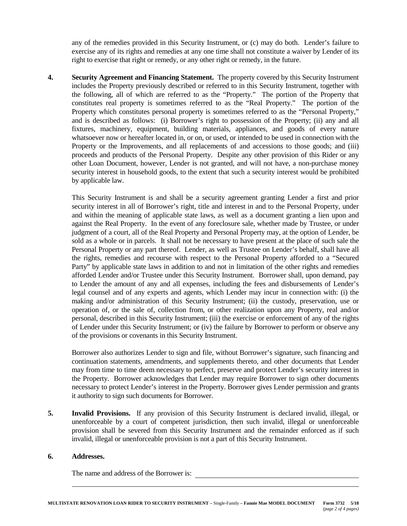any of the remedies provided in this Security Instrument, or (c) may do both. Lender's failure to exercise any of its rights and remedies at any one time shall not constitute a waiver by Lender of its right to exercise that right or remedy, or any other right or remedy, in the future.

**4. Security Agreement and Financing Statement.** The property covered by this Security Instrument includes the Property previously described or referred to in this Security Instrument, together with the following, all of which are referred to as the "Property." The portion of the Property that constitutes real property is sometimes referred to as the "Real Property." The portion of the Property which constitutes personal property is sometimes referred to as the "Personal Property," and is described as follows: (i) Borrower's right to possession of the Property; (ii) any and all fixtures, machinery, equipment, building materials, appliances, and goods of every nature whatsoever now or hereafter located in, or on, or used, or intended to be used in connection with the Property or the Improvements, and all replacements of and accessions to those goods; and (iii) proceeds and products of the Personal Property. Despite any other provision of this Rider or any other Loan Document, however, Lender is not granted, and will not have, a non-purchase money security interest in household goods, to the extent that such a security interest would be prohibited by applicable law.

This Security Instrument is and shall be a security agreement granting Lender a first and prior security interest in all of Borrower's right, title and interest in and to the Personal Property, under and within the meaning of applicable state laws, as well as a document granting a lien upon and against the Real Property. In the event of any foreclosure sale, whether made by Trustee, or under judgment of a court, all of the Real Property and Personal Property may, at the option of Lender, be sold as a whole or in parcels. It shall not be necessary to have present at the place of such sale the Personal Property or any part thereof. Lender, as well as Trustee on Lender's behalf, shall have all the rights, remedies and recourse with respect to the Personal Property afforded to a "Secured Party" by applicable state laws in addition to and not in limitation of the other rights and remedies afforded Lender and/or Trustee under this Security Instrument. Borrower shall, upon demand, pay to Lender the amount of any and all expenses, including the fees and disbursements of Lender's legal counsel and of any experts and agents, which Lender may incur in connection with: (i) the making and/or administration of this Security Instrument; (ii) the custody, preservation, use or operation of, or the sale of, collection from, or other realization upon any Property, real and/or personal, described in this Security Instrument; (iii) the exercise or enforcement of any of the rights of Lender under this Security Instrument; or (iv) the failure by Borrower to perform or observe any of the provisions or covenants in this Security Instrument.

Borrower also authorizes Lender to sign and file, without Borrower's signature, such financing and continuation statements, amendments, and supplements thereto, and other documents that Lender may from time to time deem necessary to perfect, preserve and protect Lender's security interest in the Property. Borrower acknowledges that Lender may require Borrower to sign other documents necessary to protect Lender's interest in the Property. Borrower gives Lender permission and grants it authority to sign such documents for Borrower.

**5. Invalid Provisions.** If any provision of this Security Instrument is declared invalid, illegal, or unenforceable by a court of competent jurisdiction, then such invalid, illegal or unenforceable provision shall be severed from this Security Instrument and the remainder enforced as if such invalid, illegal or unenforceable provision is not a part of this Security Instrument.

## **6. Addresses.**

The name and address of the Borrower is: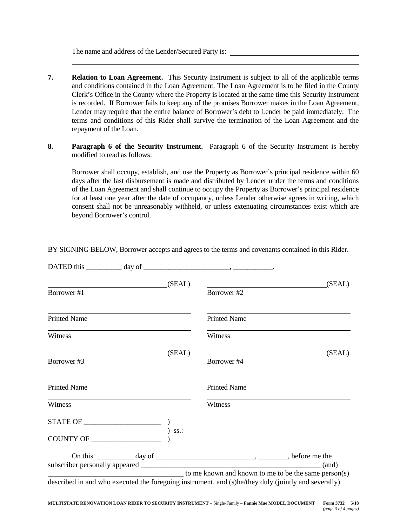The name and address of the Lender/Secured Party is:

- **7. Relation to Loan Agreement.** This Security Instrument is subject to all of the applicable terms and conditions contained in the Loan Agreement. The Loan Agreement is to be filed in the County Clerk's Office in the County where the Property is located at the same time this Security Instrument is recorded. If Borrower fails to keep any of the promises Borrower makes in the Loan Agreement, Lender may require that the entire balance of Borrower's debt to Lender be paid immediately. The terms and conditions of this Rider shall survive the termination of the Loan Agreement and the repayment of the Loan.
- **8. Paragraph 6 of the Security Instrument.** Paragraph 6 of the Security Instrument is hereby modified to read as follows:

Borrower shall occupy, establish, and use the Property as Borrower's principal residence within 60 days after the last disbursement is made and distributed by Lender under the terms and conditions of the Loan Agreement and shall continue to occupy the Property as Borrower's principal residence for at least one year after the date of occupancy, unless Lender otherwise agrees in writing, which consent shall not be unreasonably withheld, or unless extenuating circumstances exist which are beyond Borrower's control.

| (SEAL)                                                                                                                | (SEAL)<br><u>and the state of the state of the state of the state of the state of the state of the state of the state of the state of the state of the state of the state of the state of the state of the state of the state of the state</u> |
|-----------------------------------------------------------------------------------------------------------------------|------------------------------------------------------------------------------------------------------------------------------------------------------------------------------------------------------------------------------------------------|
| Borrower #1                                                                                                           | Borrower #2                                                                                                                                                                                                                                    |
| <b>Printed Name</b>                                                                                                   | <b>Printed Name</b>                                                                                                                                                                                                                            |
| Witness                                                                                                               | Witness                                                                                                                                                                                                                                        |
| (SEAL)                                                                                                                | SEAL                                                                                                                                                                                                                                           |
| Borrower#3                                                                                                            | Borrower #4                                                                                                                                                                                                                                    |
| <b>Printed Name</b>                                                                                                   | <b>Printed Name</b>                                                                                                                                                                                                                            |
| Witness                                                                                                               | Witness                                                                                                                                                                                                                                        |
|                                                                                                                       |                                                                                                                                                                                                                                                |
| $\begin{tabular}{c} CoUNITY OF \end{tabular} \begin{tabular}{c} {\footnotesize\sc D} & S} & S\\ \hline \end{tabular}$ |                                                                                                                                                                                                                                                |
|                                                                                                                       |                                                                                                                                                                                                                                                |
|                                                                                                                       |                                                                                                                                                                                                                                                |
|                                                                                                                       | to me known and known to me to be the same person(s)<br>described in and who executed the foregoing instrument, and (s)he/they duly (jointly and severally)                                                                                    |

BY SIGNING BELOW, Borrower accepts and agrees to the terms and covenants contained in this Rider.